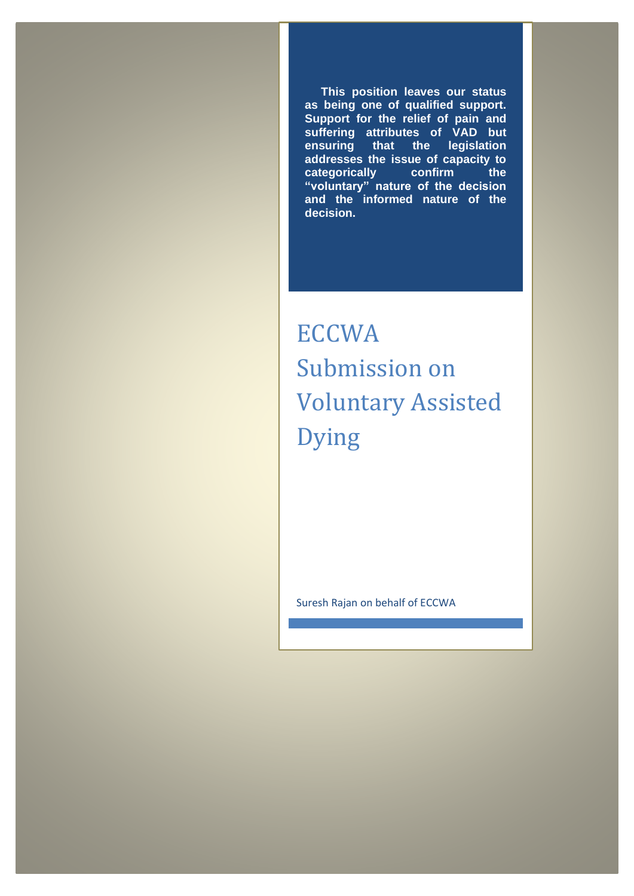**This position leaves our status as being one of qualified support. Support for the relief of pain and suffering attributes of VAD but ensuring that the legislation addresses the issue of capacity to categorically confirm the "voluntary" nature of the decision and the informed nature of the decision.**

**ECCWA** Submission on Voluntary Assisted Dying

Suresh Rajan on behalf of ECCWA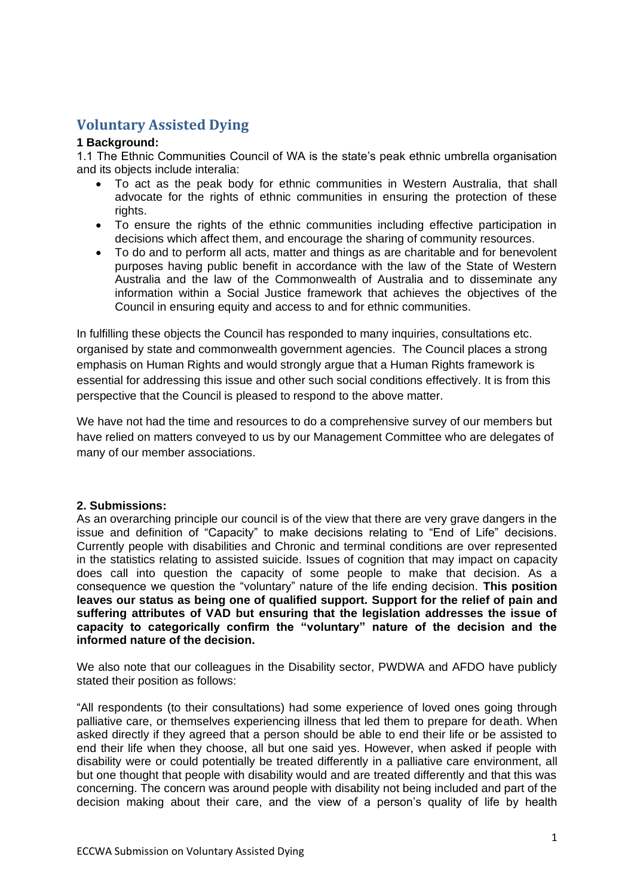# **Voluntary Assisted Dying**

## **1 Background:**

1.1 The Ethnic Communities Council of WA is the state's peak ethnic umbrella organisation and its objects include interalia:

- To act as the peak body for ethnic communities in Western Australia, that shall advocate for the rights of ethnic communities in ensuring the protection of these rights.
- To ensure the rights of the ethnic communities including effective participation in decisions which affect them, and encourage the sharing of community resources.
- To do and to perform all acts, matter and things as are charitable and for benevolent purposes having public benefit in accordance with the law of the State of Western Australia and the law of the Commonwealth of Australia and to disseminate any information within a Social Justice framework that achieves the objectives of the Council in ensuring equity and access to and for ethnic communities.

In fulfilling these objects the Council has responded to many inquiries, consultations etc. organised by state and commonwealth government agencies. The Council places a strong emphasis on Human Rights and would strongly argue that a Human Rights framework is essential for addressing this issue and other such social conditions effectively. It is from this perspective that the Council is pleased to respond to the above matter.

We have not had the time and resources to do a comprehensive survey of our members but have relied on matters conveyed to us by our Management Committee who are delegates of many of our member associations.

# **2. Submissions:**

As an overarching principle our council is of the view that there are very grave dangers in the issue and definition of "Capacity" to make decisions relating to "End of Life" decisions. Currently people with disabilities and Chronic and terminal conditions are over represented in the statistics relating to assisted suicide. Issues of cognition that may impact on capacity does call into question the capacity of some people to make that decision. As a consequence we question the "voluntary" nature of the life ending decision. **This position leaves our status as being one of qualified support. Support for the relief of pain and suffering attributes of VAD but ensuring that the legislation addresses the issue of capacity to categorically confirm the "voluntary" nature of the decision and the informed nature of the decision.**

We also note that our colleagues in the Disability sector, PWDWA and AFDO have publicly stated their position as follows:

"All respondents (to their consultations) had some experience of loved ones going through palliative care, or themselves experiencing illness that led them to prepare for death. When asked directly if they agreed that a person should be able to end their life or be assisted to end their life when they choose, all but one said yes. However, when asked if people with disability were or could potentially be treated differently in a palliative care environment, all but one thought that people with disability would and are treated differently and that this was concerning. The concern was around people with disability not being included and part of the decision making about their care, and the view of a person's quality of life by health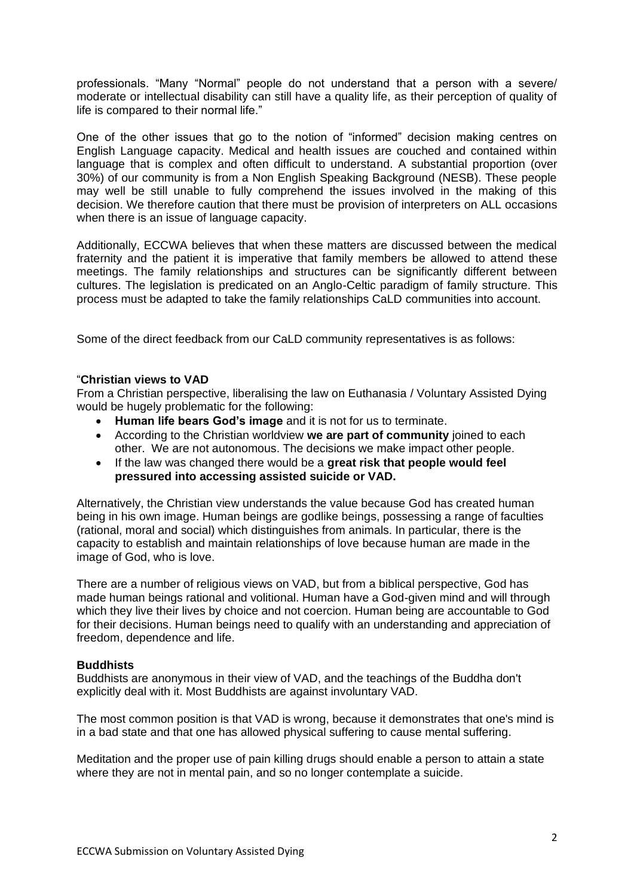professionals. "Many "Normal" people do not understand that a person with a severe/ moderate or intellectual disability can still have a quality life, as their perception of quality of life is compared to their normal life."

One of the other issues that go to the notion of "informed" decision making centres on English Language capacity. Medical and health issues are couched and contained within language that is complex and often difficult to understand. A substantial proportion (over 30%) of our community is from a Non English Speaking Background (NESB). These people may well be still unable to fully comprehend the issues involved in the making of this decision. We therefore caution that there must be provision of interpreters on ALL occasions when there is an issue of language capacity.

Additionally, ECCWA believes that when these matters are discussed between the medical fraternity and the patient it is imperative that family members be allowed to attend these meetings. The family relationships and structures can be significantly different between cultures. The legislation is predicated on an Anglo-Celtic paradigm of family structure. This process must be adapted to take the family relationships CaLD communities into account.

Some of the direct feedback from our CaLD community representatives is as follows:

# "**Christian views to VAD**

From a Christian perspective, liberalising the law on Euthanasia / Voluntary Assisted Dying would be hugely problematic for the following:

- **Human life bears God's image** and it is not for us to terminate.
- According to the Christian worldview **we are part of community** joined to each other. We are not autonomous. The decisions we make impact other people.
- If the law was changed there would be a **great risk that people would feel pressured into accessing assisted suicide or VAD.**

Alternatively, the Christian view understands the value because God has created human being in his own image. Human beings are godlike beings, possessing a range of faculties (rational, moral and social) which distinguishes from animals. In particular, there is the capacity to establish and maintain relationships of love because human are made in the image of God, who is love.

There are a number of religious views on VAD, but from a biblical perspective, God has made human beings rational and volitional. Human have a God-given mind and will through which they live their lives by choice and not coercion. Human being are accountable to God for their decisions. Human beings need to qualify with an understanding and appreciation of freedom, dependence and life.

#### **Buddhists**

Buddhists are anonymous in their view of VAD, and the teachings of the Buddha don't explicitly deal with it. Most Buddhists are against involuntary VAD.

The most common position is that VAD is wrong, because it demonstrates that one's mind is in a bad state and that one has allowed physical suffering to cause mental suffering.

Meditation and the proper use of pain killing drugs should enable a person to attain a state where they are not in mental pain, and so no longer contemplate a suicide.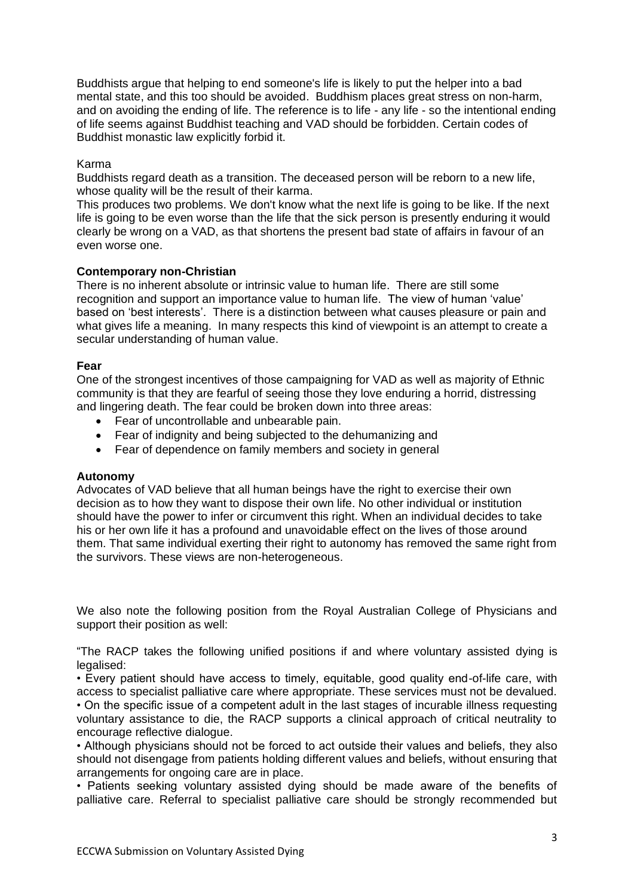Buddhists argue that helping to end someone's life is likely to put the helper into a bad mental state, and this too should be avoided. Buddhism places great stress on non-harm, and on avoiding the ending of life. The reference is to life - any life - so the intentional ending of life seems against Buddhist teaching and VAD should be forbidden. Certain codes of Buddhist monastic law explicitly forbid it.

## Karma

Buddhists regard death as a transition. The deceased person will be reborn to a new life, whose quality will be the result of their karma.

This produces two problems. We don't know what the next life is going to be like. If the next life is going to be even worse than the life that the sick person is presently enduring it would clearly be wrong on a VAD, as that shortens the present bad state of affairs in favour of an even worse one.

## **Contemporary non-Christian**

There is no inherent absolute or intrinsic value to human life. There are still some recognition and support an importance value to human life. The view of human 'value' based on 'best interests'. There is a distinction between what causes pleasure or pain and what gives life a meaning. In many respects this kind of viewpoint is an attempt to create a secular understanding of human value.

#### **Fear**

One of the strongest incentives of those campaigning for VAD as well as majority of Ethnic community is that they are fearful of seeing those they love enduring a horrid, distressing and lingering death. The fear could be broken down into three areas:

- Fear of uncontrollable and unbearable pain.
- Fear of indignity and being subjected to the dehumanizing and
- Fear of dependence on family members and society in general

#### **Autonomy**

Advocates of VAD believe that all human beings have the right to exercise their own decision as to how they want to dispose their own life. No other individual or institution should have the power to infer or circumvent this right. When an individual decides to take his or her own life it has a profound and unavoidable effect on the lives of those around them. That same individual exerting their right to autonomy has removed the same right from the survivors. These views are non-heterogeneous.

We also note the following position from the Royal Australian College of Physicians and support their position as well:

"The RACP takes the following unified positions if and where voluntary assisted dying is legalised:

• Every patient should have access to timely, equitable, good quality end-of-life care, with access to specialist palliative care where appropriate. These services must not be devalued. • On the specific issue of a competent adult in the last stages of incurable illness requesting voluntary assistance to die, the RACP supports a clinical approach of critical neutrality to encourage reflective dialogue.

• Although physicians should not be forced to act outside their values and beliefs, they also should not disengage from patients holding different values and beliefs, without ensuring that arrangements for ongoing care are in place.

• Patients seeking voluntary assisted dying should be made aware of the benefits of palliative care. Referral to specialist palliative care should be strongly recommended but